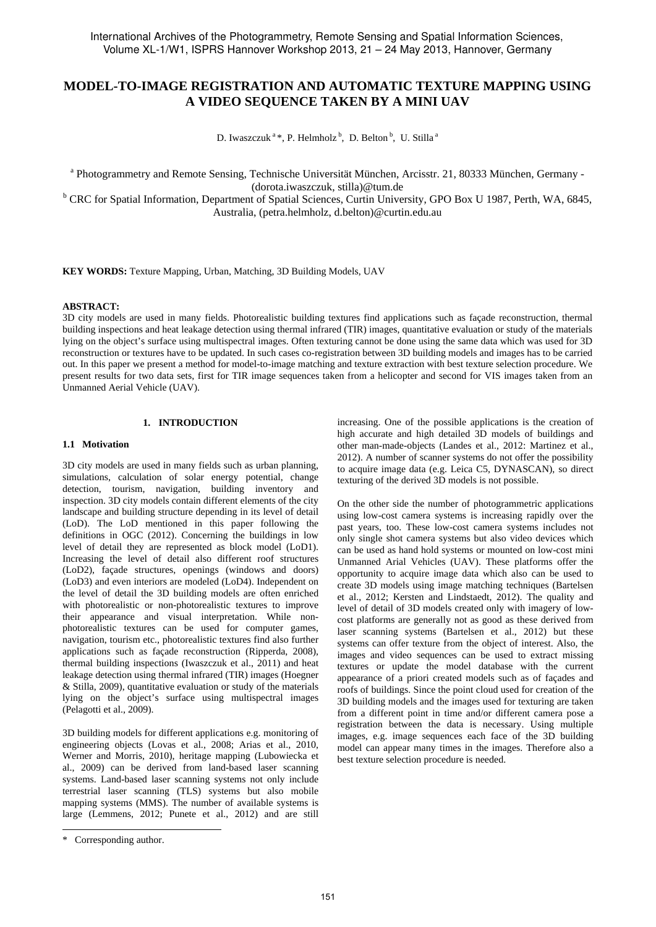# **MODEL-TO-IMAGE REGISTRATION AND AUTOMATIC TEXTURE MAPPING USING A VIDEO SEQUENCE TAKEN BY A MINI UAV**

D. Iwaszczuk<sup>a</sup>\*, P. Helmholz<sup>b</sup>, D. Belton<sup>b</sup>, U. Stilla<sup>a</sup>

<sup>a</sup> Photogrammetry and Remote Sensing, Technische Universität München, Arcisstr. 21, 80333 München, Germany -

(dorota.iwaszczuk, stilla)@tum.de<br>
<sup>b</sup> CRC for Spatial Information, Department of Spatial Sciences, Curtin University, GPO Box U 1987, Perth, WA, 6845, Australia, (petra.helmholz, d.belton)@curtin.edu.au

**KEY WORDS:** Texture Mapping, Urban, Matching, 3D Building Models, UAV

# **ABSTRACT:**

3D city models are used in many fields. Photorealistic building textures find applications such as façade reconstruction, thermal building inspections and heat leakage detection using thermal infrared (TIR) images, quantitative evaluation or study of the materials lying on the object's surface using multispectral images. Often texturing cannot be done using the same data which was used for 3D reconstruction or textures have to be updated. In such cases co-registration between 3D building models and images has to be carried out. In this paper we present a method for model-to-image matching and texture extraction with best texture selection procedure. We present results for two data sets, first for TIR image sequences taken from a helicopter and second for VIS images taken from an Unmanned Aerial Vehicle (UAV).

## **1. INTRODUCTION**

#### **1.1 Motivation**

3D city models are used in many fields such as urban planning, simulations, calculation of solar energy potential, change detection, tourism, navigation, building inventory and inspection. 3D city models contain different elements of the city landscape and building structure depending in its level of detail (LoD). The LoD mentioned in this paper following the definitions in OGC (2012). Concerning the buildings in low level of detail they are represented as block model (LoD1). Increasing the level of detail also different roof structures (LoD2), façade structures, openings (windows and doors) (LoD3) and even interiors are modeled (LoD4). Independent on the level of detail the 3D building models are often enriched with photorealistic or non-photorealistic textures to improve their appearance and visual interpretation. While nonphotorealistic textures can be used for computer games, navigation, tourism etc., photorealistic textures find also further applications such as façade reconstruction (Ripperda, 2008), thermal building inspections (Iwaszczuk et al., 2011) and heat leakage detection using thermal infrared (TIR) images (Hoegner & Stilla, 2009), quantitative evaluation or study of the materials lying on the object's surface using multispectral images (Pelagotti et al., 2009).

3D building models for different applications e.g. monitoring of engineering objects (Lovas et al., 2008; Arias et al., 2010, Werner and Morris, 2010), heritage mapping (Lubowiecka et al., 2009) can be derived from land-based laser scanning systems. Land-based laser scanning systems not only include terrestrial laser scanning (TLS) systems but also mobile mapping systems (MMS). The number of available systems is large (Lemmens, 2012; Punete et al., 2012) and are still

 $\overline{a}$ 

increasing. One of the possible applications is the creation of high accurate and high detailed 3D models of buildings and other man-made-objects (Landes et al., 2012: Martinez et al., 2012). A number of scanner systems do not offer the possibility to acquire image data (e.g. Leica C5, DYNASCAN), so direct texturing of the derived 3D models is not possible.

On the other side the number of photogrammetric applications using low-cost camera systems is increasing rapidly over the past years, too. These low-cost camera systems includes not only single shot camera systems but also video devices which can be used as hand hold systems or mounted on low-cost mini Unmanned Arial Vehicles (UAV). These platforms offer the opportunity to acquire image data which also can be used to create 3D models using image matching techniques (Bartelsen et al., 2012; Kersten and Lindstaedt, 2012). The quality and level of detail of 3D models created only with imagery of lowcost platforms are generally not as good as these derived from laser scanning systems (Bartelsen et al., 2012) but these systems can offer texture from the object of interest. Also, the images and video sequences can be used to extract missing textures or update the model database with the current appearance of a priori created models such as of façades and roofs of buildings. Since the point cloud used for creation of the 3D building models and the images used for texturing are taken from a different point in time and/or different camera pose a registration between the data is necessary. Using multiple images, e.g. image sequences each face of the 3D building model can appear many times in the images. Therefore also a best texture selection procedure is needed.

<sup>\*</sup> Corresponding author.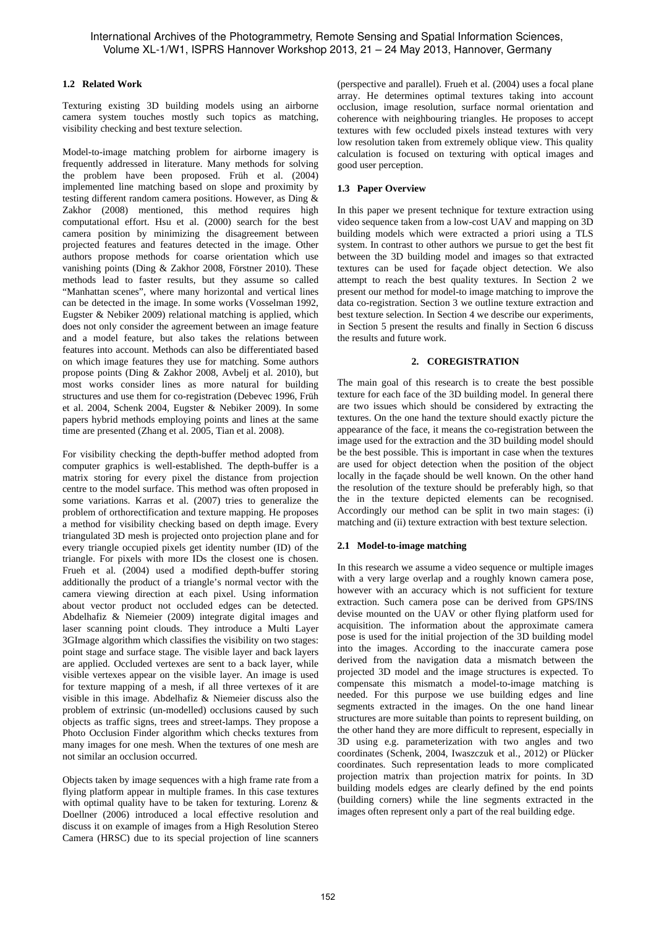# **1.2 Related Work**

Texturing existing 3D building models using an airborne camera system touches mostly such topics as matching, visibility checking and best texture selection.

Model-to-image matching problem for airborne imagery is frequently addressed in literature. Many methods for solving the problem have been proposed. Früh et al. (2004) implemented line matching based on slope and proximity by testing different random camera positions. However, as Ding & Zakhor (2008) mentioned, this method requires high computational effort. Hsu et al. (2000) search for the best camera position by minimizing the disagreement between projected features and features detected in the image. Other authors propose methods for coarse orientation which use vanishing points (Ding & Zakhor 2008, Förstner 2010). These methods lead to faster results, but they assume so called "Manhattan scenes", where many horizontal and vertical lines can be detected in the image. In some works (Vosselman 1992, Eugster & Nebiker 2009) relational matching is applied, which does not only consider the agreement between an image feature and a model feature, but also takes the relations between features into account. Methods can also be differentiated based on which image features they use for matching. Some authors propose points (Ding & Zakhor 2008, Avbelj et al. 2010), but most works consider lines as more natural for building structures and use them for co-registration (Debevec 1996, Früh et al. 2004, Schenk 2004, Eugster & Nebiker 2009). In some papers hybrid methods employing points and lines at the same time are presented (Zhang et al. 2005, Tian et al. 2008).

For visibility checking the depth-buffer method adopted from computer graphics is well-established. The depth-buffer is a matrix storing for every pixel the distance from projection centre to the model surface. This method was often proposed in some variations. Karras et al. (2007) tries to generalize the problem of orthorectification and texture mapping. He proposes a method for visibility checking based on depth image. Every triangulated 3D mesh is projected onto projection plane and for every triangle occupied pixels get identity number (ID) of the triangle. For pixels with more IDs the closest one is chosen. Frueh et al. (2004) used a modified depth-buffer storing additionally the product of a triangle's normal vector with the camera viewing direction at each pixel. Using information about vector product not occluded edges can be detected. Abdelhafiz & Niemeier (2009) integrate digital images and laser scanning point clouds. They introduce a Multi Layer 3GImage algorithm which classifies the visibility on two stages: point stage and surface stage. The visible layer and back layers are applied. Occluded vertexes are sent to a back layer, while visible vertexes appear on the visible layer. An image is used for texture mapping of a mesh, if all three vertexes of it are visible in this image. Abdelhafiz & Niemeier discuss also the problem of extrinsic (un-modelled) occlusions caused by such objects as traffic signs, trees and street-lamps. They propose a Photo Occlusion Finder algorithm which checks textures from many images for one mesh. When the textures of one mesh are not similar an occlusion occurred.

Objects taken by image sequences with a high frame rate from a flying platform appear in multiple frames. In this case textures with optimal quality have to be taken for texturing. Lorenz & Doellner (2006) introduced a local effective resolution and discuss it on example of images from a High Resolution Stereo Camera (HRSC) due to its special projection of line scanners (perspective and parallel). Frueh et al. (2004) uses a focal plane array. He determines optimal textures taking into account occlusion, image resolution, surface normal orientation and coherence with neighbouring triangles. He proposes to accept textures with few occluded pixels instead textures with very low resolution taken from extremely oblique view. This quality calculation is focused on texturing with optical images and good user perception.

# **1.3 Paper Overview**

In this paper we present technique for texture extraction using video sequence taken from a low-cost UAV and mapping on 3D building models which were extracted a priori using a TLS system. In contrast to other authors we pursue to get the best fit between the 3D building model and images so that extracted textures can be used for façade object detection. We also attempt to reach the best quality textures. In Section 2 we present our method for model-to image matching to improve the data co-registration. Section 3 we outline texture extraction and best texture selection. In Section 4 we describe our experiments, in Section 5 present the results and finally in Section 6 discuss the results and future work.

# **2. COREGISTRATION**

The main goal of this research is to create the best possible texture for each face of the 3D building model. In general there are two issues which should be considered by extracting the textures. On the one hand the texture should exactly picture the appearance of the face, it means the co-registration between the image used for the extraction and the 3D building model should be the best possible. This is important in case when the textures are used for object detection when the position of the object locally in the façade should be well known. On the other hand the resolution of the texture should be preferably high, so that the in the texture depicted elements can be recognised. Accordingly our method can be split in two main stages: (i) matching and (ii) texture extraction with best texture selection.

# **2.1 Model-to-image matching**

In this research we assume a video sequence or multiple images with a very large overlap and a roughly known camera pose, however with an accuracy which is not sufficient for texture extraction. Such camera pose can be derived from GPS/INS devise mounted on the UAV or other flying platform used for acquisition. The information about the approximate camera pose is used for the initial projection of the 3D building model into the images. According to the inaccurate camera pose derived from the navigation data a mismatch between the projected 3D model and the image structures is expected. To compensate this mismatch a model-to-image matching is needed. For this purpose we use building edges and line segments extracted in the images. On the one hand linear structures are more suitable than points to represent building, on the other hand they are more difficult to represent, especially in 3D using e.g. parameterization with two angles and two coordinates (Schenk, 2004, Iwaszczuk et al., 2012) or Plücker coordinates. Such representation leads to more complicated projection matrix than projection matrix for points. In 3D building models edges are clearly defined by the end points (building corners) while the line segments extracted in the images often represent only a part of the real building edge.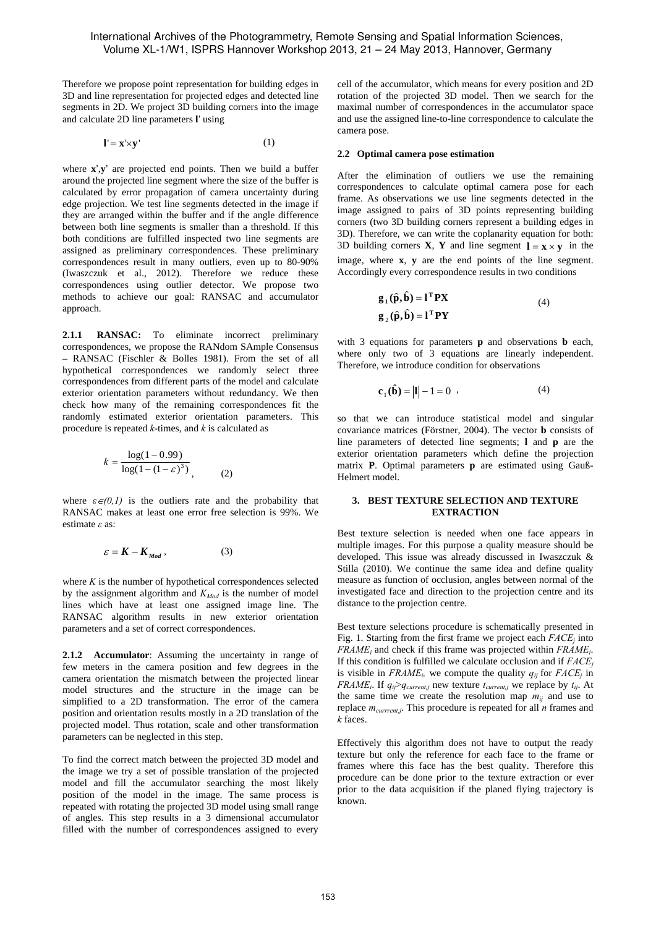Therefore we propose point representation for building edges in 3D and line representation for projected edges and detected line segments in 2D. We project 3D building corners into the image and calculate 2D line parameters **l**' using

$$
\mathbf{l}' = \mathbf{x}' \times \mathbf{y}' \tag{1}
$$

where **x**',**y**' are projected end points. Then we build a buffer around the projected line segment where the size of the buffer is calculated by error propagation of camera uncertainty during edge projection. We test line segments detected in the image if they are arranged within the buffer and if the angle difference between both line segments is smaller than a threshold. If this both conditions are fulfilled inspected two line segments are assigned as preliminary correspondences. These preliminary correspondences result in many outliers, even up to 80-90% (Iwaszczuk et al., 2012). Therefore we reduce these correspondences using outlier detector. We propose two methods to achieve our goal: RANSAC and accumulator approach.

**2.1.1 RANSAC:** To eliminate incorrect preliminary correspondences, we propose the RANdom SAmple Consensus – RANSAC (Fischler & Bolles 1981). From the set of all hypothetical correspondences we randomly select three correspondences from different parts of the model and calculate exterior orientation parameters without redundancy. We then check how many of the remaining correspondences fit the randomly estimated exterior orientation parameters. This procedure is repeated *k*-times, and *k* is calculated as

$$
k = \frac{\log(1 - 0.99)}{\log(1 - (1 - \varepsilon)^{3})},
$$
 (2)

where  $\varepsilon \in (0,1)$  is the outliers rate and the probability that RANSAC makes at least one error free selection is 99%. We estimate *ε* as:

$$
\varepsilon = K - K_{Mod} \,, \tag{3}
$$

where  $K$  is the number of hypothetical correspondences selected by the assignment algorithm and  $K_{Mod}$  is the number of model lines which have at least one assigned image line. The RANSAC algorithm results in new exterior orientation parameters and a set of correct correspondences.

**2.1.2 Accumulator**: Assuming the uncertainty in range of few meters in the camera position and few degrees in the camera orientation the mismatch between the projected linear model structures and the structure in the image can be simplified to a 2D transformation. The error of the camera position and orientation results mostly in a 2D translation of the projected model. Thus rotation, scale and other transformation parameters can be neglected in this step.

To find the correct match between the projected 3D model and the image we try a set of possible translation of the projected model and fill the accumulator searching the most likely position of the model in the image. The same process is repeated with rotating the projected 3D model using small range of angles. This step results in a 3 dimensional accumulator filled with the number of correspondences assigned to every

cell of the accumulator, which means for every position and 2D rotation of the projected 3D model. Then we search for the maximal number of correspondences in the accumulator space and use the assigned line-to-line correspondence to calculate the camera pose.

### **2.2 Optimal camera pose estimation**

After the elimination of outliers we use the remaining correspondences to calculate optimal camera pose for each frame. As observations we use line segments detected in the image assigned to pairs of 3D points representing building corners (two 3D building corners represent a building edges in 3D). Therefore, we can write the coplanarity equation for both: 3D building corners **X**, **Y** and line segment  $\mathbf{l} = \mathbf{x} \times \mathbf{y}$  in the image, where **x**, **y** are the end points of the line segment. Accordingly every correspondence results in two conditions

$$
\mathbf{g}_1(\hat{\mathbf{p}}, \hat{\mathbf{b}}) = \mathbf{1}^{\mathrm{T}} \mathbf{P} \mathbf{X}
$$
  
\n
$$
\mathbf{g}_2(\hat{\mathbf{p}}, \hat{\mathbf{b}}) = \mathbf{1}^{\mathrm{T}} \mathbf{P} \mathbf{Y}
$$
\n(4)

with 3 equations for parameters **p** and observations **b** each, where only two of 3 equations are linearly independent. Therefore, we introduce condition for observations

$$
\mathbf{c}_1(\hat{\mathbf{b}}) = |\mathbf{l}| - 1 = 0 \tag{4}
$$

so that we can introduce statistical model and singular covariance matrices (Förstner, 2004). The vector **b** consists of line parameters of detected line segments; **l** and **p** are the exterior orientation parameters which define the projection matrix **P**. Optimal parameters **p** are estimated using Gauß-Helmert model.

### **3. BEST TEXTURE SELECTION AND TEXTURE EXTRACTION**

Best texture selection is needed when one face appears in multiple images. For this purpose a quality measure should be developed. This issue was already discussed in Iwaszczuk & Stilla (2010). We continue the same idea and define quality measure as function of occlusion, angles between normal of the investigated face and direction to the projection centre and its distance to the projection centre.

Best texture selections procedure is schematically presented in Fig. 1. Starting from the first frame we project each  $FACE<sub>i</sub>$  into *FRAMEi* and check if this frame was projected within *FRAMEi*. If this condition is fulfilled we calculate occlusion and if *FACEj* is visible in  $FRAME_i$ , we compute the quality  $q_{ii}$  for  $FACE_i$  in *FRAME<sub>i</sub>*. If  $q_{ij} > q_{current,i}$  new texture  $t_{current,i}$  we replace by  $t_{ij}$ . At the same time we create the resolution map  $m_{ij}$  and use to replace *mcurrrent,j*. This procedure is repeated for all *n* frames and *k* faces.

Effectively this algorithm does not have to output the ready texture but only the reference for each face to the frame or frames where this face has the best quality. Therefore this procedure can be done prior to the texture extraction or ever prior to the data acquisition if the planed flying trajectory is known.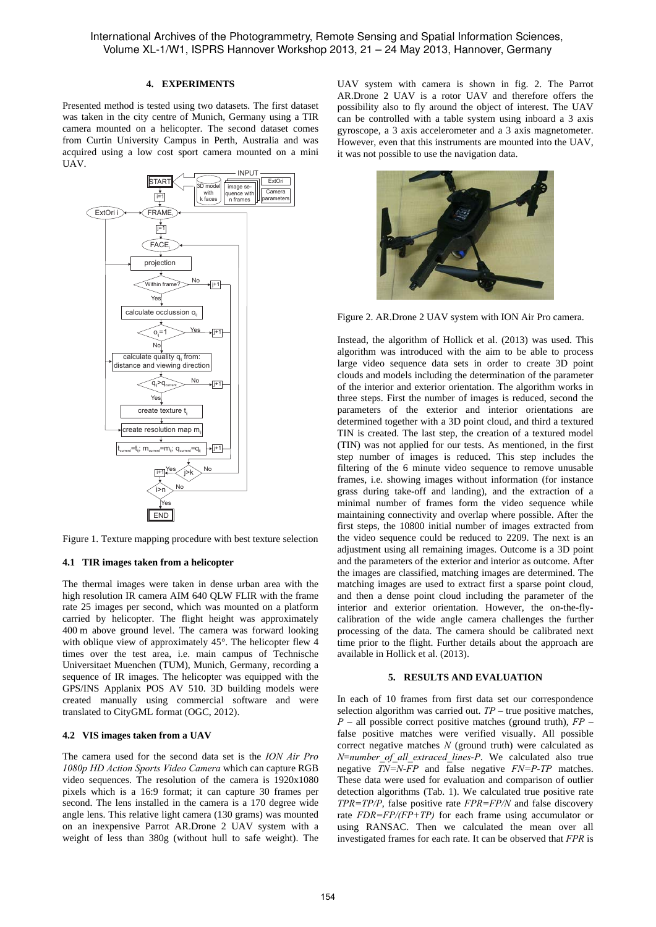### **4. EXPERIMENTS**

Presented method is tested using two datasets. The first dataset was taken in the city centre of Munich, Germany using a TIR camera mounted on a helicopter. The second dataset comes from Curtin University Campus in Perth, Australia and was acquired using a low cost sport camera mounted on a mini UAV.



Figure 1. Texture mapping procedure with best texture selection

#### **4.1 TIR images taken from a helicopter**

The thermal images were taken in dense urban area with the high resolution IR camera AIM 640 QLW FLIR with the frame rate 25 images per second, which was mounted on a platform carried by helicopter. The flight height was approximately 400 m above ground level. The camera was forward looking with oblique view of approximately 45°. The helicopter flew 4 times over the test area, i.e. main campus of Technische Universitaet Muenchen (TUM), Munich, Germany, recording a sequence of IR images. The helicopter was equipped with the GPS/INS Applanix POS AV 510. 3D building models were created manually using commercial software and were translated to CityGML format (OGC, 2012).

#### **4.2 VIS images taken from a UAV**

The camera used for the second data set is the *ION Air Pro 1080p HD Action Sports Video Camera* which can capture RGB video sequences. The resolution of the camera is 1920x1080 pixels which is a 16:9 format; it can capture 30 frames per second. The lens installed in the camera is a 170 degree wide angle lens. This relative light camera (130 grams) was mounted on an inexpensive Parrot AR.Drone 2 UAV system with a weight of less than 380g (without hull to safe weight). The UAV system with camera is shown in fig. 2. The Parrot AR.Drone 2 UAV is a rotor UAV and therefore offers the possibility also to fly around the object of interest. The UAV can be controlled with a table system using inboard a 3 axis gyroscope, a 3 axis accelerometer and a 3 axis magnetometer. However, even that this instruments are mounted into the UAV, it was not possible to use the navigation data.



Figure 2. AR.Drone 2 UAV system with ION Air Pro camera.

Instead, the algorithm of Hollick et al. (2013) was used. This algorithm was introduced with the aim to be able to process large video sequence data sets in order to create 3D point clouds and models including the determination of the parameter of the interior and exterior orientation. The algorithm works in three steps. First the number of images is reduced, second the parameters of the exterior and interior orientations are determined together with a 3D point cloud, and third a textured TIN is created. The last step, the creation of a textured model (TIN) was not applied for our tests. As mentioned, in the first step number of images is reduced. This step includes the filtering of the 6 minute video sequence to remove unusable frames, i.e. showing images without information (for instance grass during take-off and landing), and the extraction of a minimal number of frames form the video sequence while maintaining connectivity and overlap where possible. After the first steps, the 10800 initial number of images extracted from the video sequence could be reduced to 2209. The next is an adjustment using all remaining images. Outcome is a 3D point and the parameters of the exterior and interior as outcome. After the images are classified, matching images are determined. The matching images are used to extract first a sparse point cloud, and then a dense point cloud including the parameter of the interior and exterior orientation. However, the on-the-flycalibration of the wide angle camera challenges the further processing of the data. The camera should be calibrated next time prior to the flight. Further details about the approach are available in Hollick et al. (2013).

### **5. RESULTS AND EVALUATION**

In each of 10 frames from first data set our correspondence selection algorithm was carried out. *TP* – true positive matches, *P* – all possible correct positive matches (ground truth), *FP* – false positive matches were verified visually. All possible correct negative matches *N* (ground truth) were calculated as *N*=*number\_of\_all\_extraced\_lines*-*P*. We calculated also true negative *TN=N-FP* and false negative *FN=P-TP* matches. These data were used for evaluation and comparison of outlier detection algorithms (Tab. 1). We calculated true positive rate *TPR=TP/P*, false positive rate *FPR=FP/N* and false discovery rate *FDR=FP/(FP+TP)* for each frame using accumulator or using RANSAC. Then we calculated the mean over all investigated frames for each rate. It can be observed that *FPR* is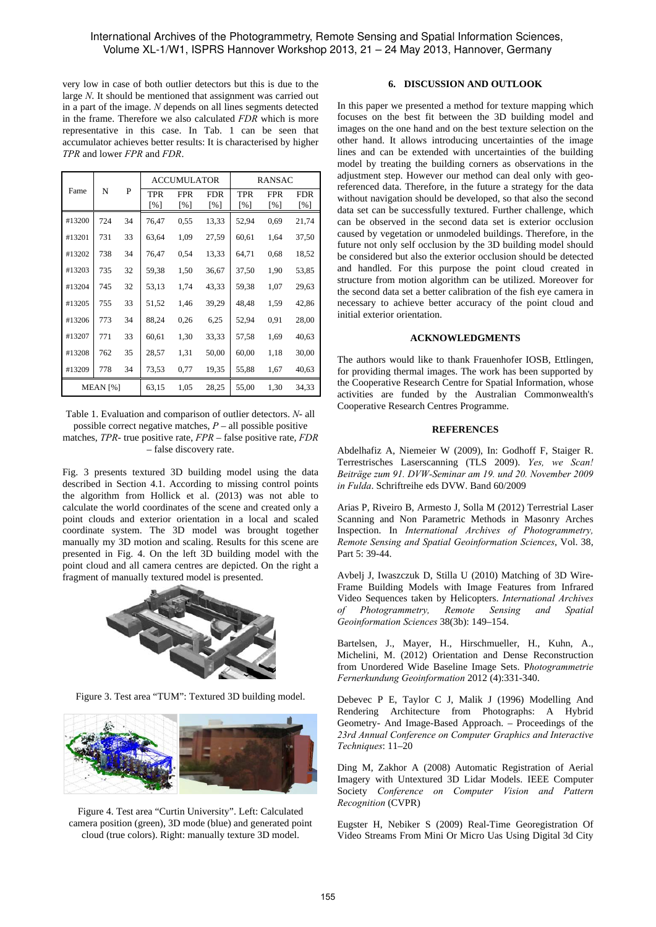very low in case of both outlier detectors but this is due to the large *N*. It should be mentioned that assignment was carried out in a part of the image. *N* depends on all lines segments detected in the frame. Therefore we also calculated *FDR* which is more representative in this case. In Tab. 1 can be seen that accumulator achieves better results: It is characterised by higher *TPR* and lower *FPR* and *FDR*.

| Fame                | N   | P  | <b>ACCUMULATOR</b>               |                                 |                   | <b>RANSAC</b>            |                   |                   |
|---------------------|-----|----|----------------------------------|---------------------------------|-------------------|--------------------------|-------------------|-------------------|
|                     |     |    | <b>TPR</b><br>$\lceil \% \rceil$ | <b>FPR</b><br>$\lceil\% \rceil$ | <b>FDR</b><br>[%] | TPR<br>$\lceil\% \rceil$ | <b>FPR</b><br>[%] | <b>FDR</b><br>[%] |
| #13200              | 724 | 34 | 76,47                            | 0.55                            | 13,33             | 52,94                    | 0.69              | 21,74             |
| #13201              | 731 | 33 | 63,64                            | 1,09                            | 27,59             | 60,61                    | 1,64              | 37,50             |
| #13202              | 738 | 34 | 76,47                            | 0.54                            | 13,33             | 64,71                    | 0.68              | 18,52             |
| #13203              | 735 | 32 | 59,38                            | 1,50                            | 36,67             | 37,50                    | 1,90              | 53,85             |
| #13204              | 745 | 32 | 53,13                            | 1,74                            | 43,33             | 59,38                    | 1,07              | 29,63             |
| #13205              | 755 | 33 | 51,52                            | 1,46                            | 39,29             | 48,48                    | 1,59              | 42,86             |
| #13206              | 773 | 34 | 88,24                            | 0,26                            | 6,25              | 52,94                    | 0.91              | 28,00             |
| #13207              | 771 | 33 | 60,61                            | 1,30                            | 33,33             | 57,58                    | 1,69              | 40,63             |
| #13208              | 762 | 35 | 28,57                            | 1,31                            | 50,00             | 60,00                    | 1,18              | 30,00             |
| #13209              | 778 | 34 | 73,53                            | 0,77                            | 19,35             | 55,88                    | 1,67              | 40,63             |
| MEAN <sup>[%]</sup> |     |    | 63,15                            | 1,05                            | 28,25             | 55,00                    | 1,30              | 34,33             |

Table 1. Evaluation and comparison of outlier detectors. *N*- all possible correct negative matches, *P* – all possible positive matches, *TPR*- true positive rate, *FPR* – false positive rate, *FDR* – false discovery rate.

Fig. 3 presents textured 3D building model using the data described in Section 4.1. According to missing control points the algorithm from Hollick et al. (2013) was not able to calculate the world coordinates of the scene and created only a point clouds and exterior orientation in a local and scaled coordinate system. The 3D model was brought together manually my 3D motion and scaling. Results for this scene are presented in Fig. 4. On the left 3D building model with the point cloud and all camera centres are depicted. On the right a fragment of manually textured model is presented.



Figure 3. Test area "TUM": Textured 3D building model.



Figure 4. Test area "Curtin University". Left: Calculated camera position (green), 3D mode (blue) and generated point cloud (true colors). Right: manually texture 3D model.

## **6. DISCUSSION AND OUTLOOK**

In this paper we presented a method for texture mapping which focuses on the best fit between the 3D building model and images on the one hand and on the best texture selection on the other hand. It allows introducing uncertainties of the image lines and can be extended with uncertainties of the building model by treating the building corners as observations in the adjustment step. However our method can deal only with georeferenced data. Therefore, in the future a strategy for the data without navigation should be developed, so that also the second data set can be successfully textured. Further challenge, which can be observed in the second data set is exterior occlusion caused by vegetation or unmodeled buildings. Therefore, in the future not only self occlusion by the 3D building model should be considered but also the exterior occlusion should be detected and handled. For this purpose the point cloud created in structure from motion algorithm can be utilized. Moreover for the second data set a better calibration of the fish eye camera in necessary to achieve better accuracy of the point cloud and initial exterior orientation.

#### **ACKNOWLEDGMENTS**

The authors would like to thank Frauenhofer IOSB, Ettlingen, for providing thermal images. The work has been supported by the Cooperative Research Centre for Spatial Information, whose activities are funded by the Australian Commonwealth's Cooperative Research Centres Programme.

### **REFERENCES**

Abdelhafiz A, Niemeier W (2009), In: Godhoff F, Staiger R. Terrestrisches Laserscanning (TLS 2009). *Yes, we Scan! Beiträge zum 91. DVW-Seminar am 19. und 20. November 2009 in Fulda*. Schriftreihe eds DVW. Band 60/2009

Arias P, Riveiro B, Armesto J, Solla M (2012) Terrestrial Laser Scanning and Non Parametric Methods in Masonry Arches Inspection. In *International Archives of Photogrammetry, Remote Sensing and Spatial Geoinformation Sciences*, Vol. 38, Part 5: 39-44.

Avbelj J, Iwaszczuk D, Stilla U (2010) Matching of 3D Wire-Frame Building Models with Image Features from Infrared Video Sequences taken by Helicopters. *International Archives of Photogrammetry, Remote Sensing and Spatial Geoinformation Sciences* 38(3b): 149–154.

Bartelsen, J., Mayer, H., Hirschmueller, H., Kuhn, A., Michelini, M. (2012) Orientation and Dense Reconstruction from Unordered Wide Baseline Image Sets. P*hotogrammetrie Fernerkundung Geoinformation* 2012 (4):331-340.

Debevec P E, Taylor C J, Malik J (1996) Modelling And Rendering Architecture from Photographs: A Hybrid Geometry- And Image-Based Approach. – Proceedings of the *23rd Annual Conference on Computer Graphics and Interactive Techniques*: 11–20

Ding M, Zakhor A (2008) Automatic Registration of Aerial Imagery with Untextured 3D Lidar Models. IEEE Computer Society *Conference on Computer Vision and Pattern Recognition* (CVPR)

Eugster H, Nebiker S (2009) Real-Time Georegistration Of Video Streams From Mini Or Micro Uas Using Digital 3d City